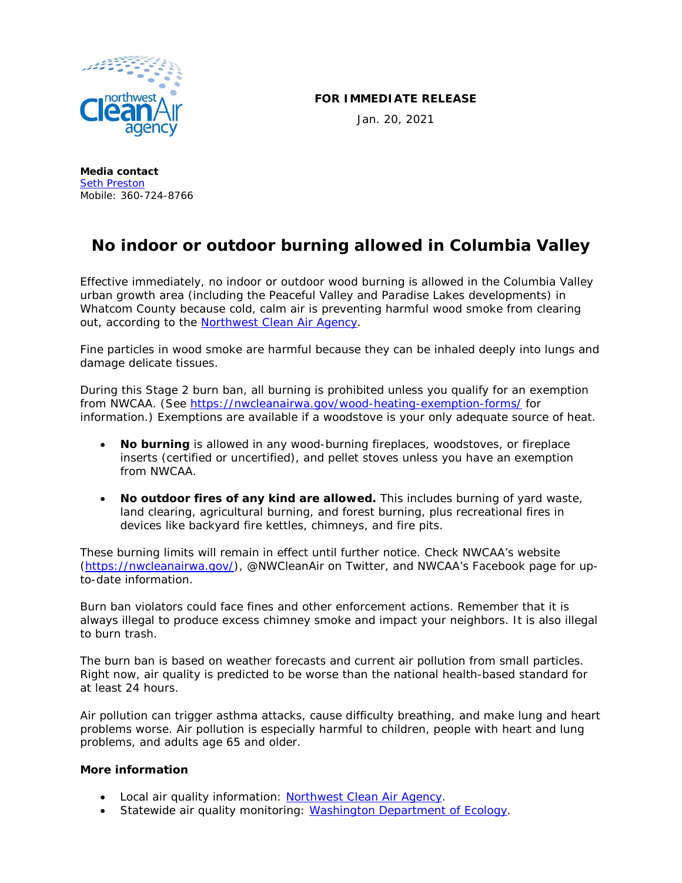

## **FOR IMMEDIATE RELEASE**

Jan. 20, 2021

**Media contact** [Seth Preston](mailto:seth.p@nwcleanairwa.gov) Mobile: 360-724-8766

## **No indoor or outdoor burning allowed in Columbia Valley**

Effective immediately, no indoor or outdoor wood burning is allowed in the Columbia Valley urban growth area (including the Peaceful Valley and Paradise Lakes developments) in Whatcom County because cold, calm air is preventing harmful wood smoke from clearing out, according to the [Northwest Clean Air Agency.](https://nwcleanairwa.gov/)

Fine particles in wood smoke are harmful because they can be inhaled deeply into lungs and damage delicate tissues.

During this Stage 2 burn ban, all burning is prohibited unless you qualify for an exemption from NWCAA. (See<https://nwcleanairwa.gov/wood-heating-exemption-forms/> for information.) Exemptions are available if a woodstove is your only adequate source of heat.

- **No burning** is allowed in any wood-burning fireplaces, woodstoves, or fireplace inserts (certified or uncertified), and pellet stoves unless you have an exemption from NWCAA.
- **No outdoor fires of any kind are allowed.** This includes burning of yard waste, land clearing, agricultural burning, and forest burning, plus recreational fires in devices like backyard fire kettles, chimneys, and fire pits.

These burning limits will remain in effect until further notice. Check NWCAA's website [\(https://nwcleanairwa.gov/\)](https://nwcleanairwa.gov/), @NWCleanAir on Twitter, and NWCAA's Facebook page for upto-date information.

Burn ban violators could face fines and other enforcement actions. Remember that it is always illegal to produce excess chimney smoke and impact your neighbors. It is also illegal to burn trash.

The burn ban is based on weather forecasts and current air pollution from small particles. Right now, air quality is predicted to be worse than the national health-based standard for at least 24 hours.

Air pollution can trigger asthma attacks, cause difficulty breathing, and make lung and heart problems worse. Air pollution is especially harmful to children, people with heart and lung problems, and adults age 65 and older.

## **More information**

- Local air quality information: [Northwest Clean Air Agency.](https://nwcleanairwa.gov/air-quality-center/)
- Statewide air quality monitoring: [Washington Department of Ecology.](https://enviwa.ecology.wa.gov/home/map)